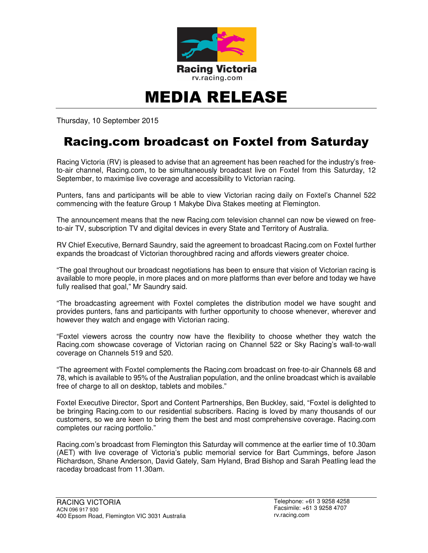

## MEDIA RELEASE

Thursday, 10 September 2015

## Racing.com broadcast on Foxtel from Saturday

Racing Victoria (RV) is pleased to advise that an agreement has been reached for the industry's freeto-air channel, Racing.com, to be simultaneously broadcast live on Foxtel from this Saturday, 12 September, to maximise live coverage and accessibility to Victorian racing.

Punters, fans and participants will be able to view Victorian racing daily on Foxtel's Channel 522 commencing with the feature Group 1 Makybe Diva Stakes meeting at Flemington.

The announcement means that the new Racing.com television channel can now be viewed on freeto-air TV, subscription TV and digital devices in every State and Territory of Australia.

RV Chief Executive, Bernard Saundry, said the agreement to broadcast Racing.com on Foxtel further expands the broadcast of Victorian thoroughbred racing and affords viewers greater choice.

"The goal throughout our broadcast negotiations has been to ensure that vision of Victorian racing is available to more people, in more places and on more platforms than ever before and today we have fully realised that goal," Mr Saundry said.

"The broadcasting agreement with Foxtel completes the distribution model we have sought and provides punters, fans and participants with further opportunity to choose whenever, wherever and however they watch and engage with Victorian racing.

"Foxtel viewers across the country now have the flexibility to choose whether they watch the Racing.com showcase coverage of Victorian racing on Channel 522 or Sky Racing's wall-to-wall coverage on Channels 519 and 520.

"The agreement with Foxtel complements the Racing.com broadcast on free-to-air Channels 68 and 78, which is available to 95% of the Australian population, and the online broadcast which is available free of charge to all on desktop, tablets and mobiles."

Foxtel Executive Director, Sport and Content Partnerships, Ben Buckley, said, "Foxtel is delighted to be bringing Racing.com to our residential subscribers. Racing is loved by many thousands of our customers, so we are keen to bring them the best and most comprehensive coverage. Racing.com completes our racing portfolio."

Racing.com's broadcast from Flemington this Saturday will commence at the earlier time of 10.30am (AET) with live coverage of Victoria's public memorial service for Bart Cummings, before Jason Richardson, Shane Anderson, David Gately, Sam Hyland, Brad Bishop and Sarah Peatling lead the raceday broadcast from 11.30am.